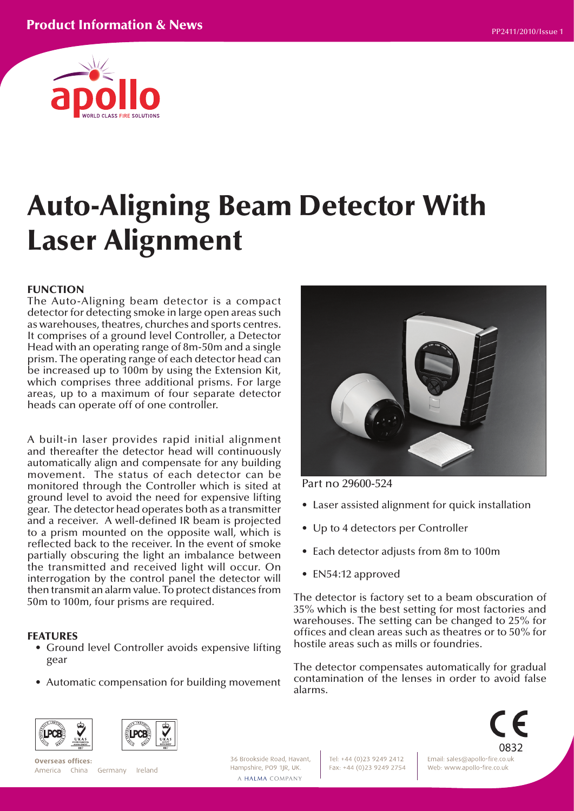

# Auto-Aligning Beam Detector With Laser Alignment

#### FUNCTION

The Auto-Aligning beam detector is a compact detector for detecting smoke in large open areas such as warehouses, theatres, churches and sports centres. It comprises of a ground level Controller, a Detector Head with an operating range of 8m-50m and a single prism. The operating range of each detector head can be increased up to 100m by using the Extension Kit, which comprises three additional prisms. For large areas, up to a maximum of four separate detector heads can operate off of one controller.

A built-in laser provides rapid initial alignment and thereafter the detector head will continuously automatically align and compensate for any building movement. The status of each detector can be monitored through the Controller which is sited at ground level to avoid the need for expensive lifting gear. The detector head operates both as a transmitter and a receiver. A well-defined IR beam is projected to a prism mounted on the opposite wall, which is reflected back to the receiver. In the event of smoke partially obscuring the light an imbalance between the transmitted and received light will occur. On interrogation by the control panel the detector will then transmit an alarm value. To protect distances from 50m to 100m, four prisms are required.

#### FEATURES

- Ground level Controller avoids expensive lifting gear
- Automatic compensation for building movement



Part no 29600-524

- Laser assisted alignment for quick installation
- Up to 4 detectors per Controller
- Each detector adjusts from 8m to 100m
- EN54:12 approved

The detector is factory set to a beam obscuration of 35% which is the best setting for most factories and warehouses. The setting can be changed to 25% for offices and clean areas such as theatres or to 50% for hostile areas such as mills or foundries.

The detector compensates automatically for gradual contamination of the lenses in order to avoid false alarms.





Overseas offices: America China Germany Ireland 36 Brookside Road, Havant. Hampshire, PO9 1JR, UK. A HALMA COMPANY

Tel: +44 (0)23 9249 2412 Fax: +44 (0)23 9249 2754



Email: sales@apollo-fire.co.uk Web: www.apollo-fire.co.uk